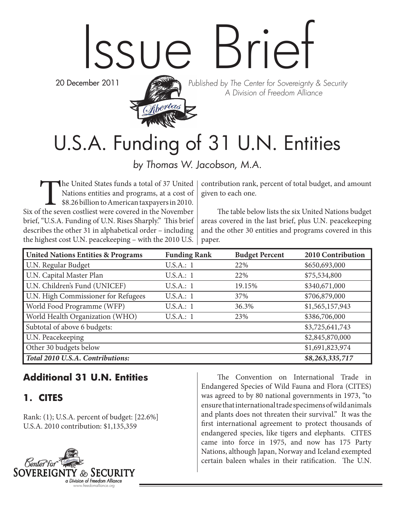# Issue Brief

20 December 2011



Published by The Center for Sovereignty & Security A Division of Freedom Alliance

# U.S.A. Funding of 31 U.N. Entities

by Thomas W. Jacobson, M.A.

The United States funds a total of 37 United<br>Nations entities and programs, at a cost of<br>\$8.26 billion to American taxpayers in 2010.<br>The seven costliest were covered in the November Nations entities and programs, at a cost of \$8.26 billion to American taxpayers in 2010. Six of the seven costliest were covered in the November brief, "U.S.A. Funding of U.N. Rises Sharply." This brief describes the other 31 in alphabetical order – including the highest cost U.N. peacekeeping – with the 2010 U.S.

contribution rank, percent of total budget, and amount given to each one.

The table below lists the six United Nations budget areas covered in the last brief, plus U.N. peacekeeping and the other 30 entities and programs covered in this paper.

| <b>United Nations Entities &amp; Programs</b> | <b>Funding Rank</b> | <b>Budget Percent</b> | 2010 Contribution |
|-----------------------------------------------|---------------------|-----------------------|-------------------|
| U.N. Regular Budget                           | U.S.A.:1            | 22%                   | \$650,693,000     |
| U.N. Capital Master Plan                      | U.S.A.:1            | 22%                   | \$75,534,800      |
| U.N. Children's Fund (UNICEF)                 | U.S.A.:1            | 19.15%                | \$340,671,000     |
| U.N. High Commissioner for Refugees           | U.S.A.:1            | 37%                   | \$706,879,000     |
| World Food Programme (WFP)                    | U.S.A.:1            | 36.3%                 | \$1,565,157,943   |
| World Health Organization (WHO)               | U.S.A.:1            | 23%                   | \$386,706,000     |
| Subtotal of above 6 budgets:                  |                     |                       | \$3,725,641,743   |
| U.N. Peacekeeping                             |                     |                       | \$2,845,870,000   |
| Other 30 budgets below                        |                     |                       | \$1,691,823,974   |
| Total 2010 U.S.A. Contributions:              |                     |                       | \$8,263,335,717   |

#### **Additional 31 U.N. Entities**

#### **1. CITES**

Rank: (1); U.S.A. percent of budget: [22.6%] U.S.A. 2010 contribution: \$1,135,359



The Convention on International Trade in Endangered Species of Wild Fauna and Flora (CITES) was agreed to by 80 national governments in 1973, "to ensure that international trade specimens of wild animals and plants does not threaten their survival." It was the first international agreement to protect thousands of endangered species, like tigers and elephants. CITES came into force in 1975, and now has 175 Party Nations, although Japan, Norway and Iceland exempted certain baleen whales in their ratification. The U.N.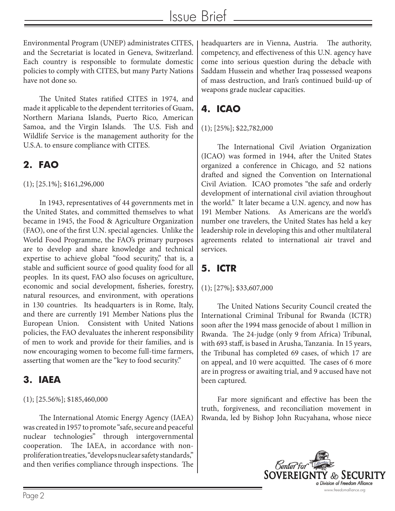Environmental Program (UNEP) administrates CITES, and the Secretariat is located in Geneva, Switzerland. Each country is responsible to formulate domestic policies to comply with CITES, but many Party Nations have not done so.

The United States ratified CITES in 1974, and made it applicable to the dependent territories of Guam, Northern Mariana Islands, Puerto Rico, American Samoa, and the Virgin Islands. The U.S. Fish and Wildlife Service is the management authority for the U.S.A. to ensure compliance with CITES.

#### **2. FAO**

(1); [25.1%]; \$161,296,000

In 1943, representatives of 44 governments met in the United States, and committed themselves to what became in 1945, the Food & Agriculture Organization (FAO), one of the first U.N. special agencies. Unlike the World Food Programme, the FAO's primary purposes are to develop and share knowledge and technical expertise to achieve global "food security," that is, a stable and sufficient source of good quality food for all peoples. In its quest, FAO also focuses on agriculture, economic and social development, fisheries, forestry, natural resources, and environment, with operations in 130 countries. Its headquarters is in Rome, Italy, and there are currently 191 Member Nations plus the European Union. Consistent with United Nations policies, the FAO devaluates the inherent responsibility of men to work and provide for their families, and is now encouraging women to become full-time farmers, asserting that women are the "key to food security."

#### **3. IAEA**

#### (1); [25.56%]; \$185,460,000

The International Atomic Energy Agency (IAEA) was created in 1957 to promote "safe, secure and peaceful nuclear technologies" through intergovernmental cooperation. The IAEA, in accordance with nonproliferation treaties, "develops nuclear safety standards," and then verifies compliance through inspections. The headquarters are in Vienna, Austria. The authority, competency, and effectiveness of this U.N. agency have come into serious question during the debacle with Saddam Hussein and whether Iraq possessed weapons of mass destruction, and Iran's continued build-up of weapons grade nuclear capacities.

# **4. ICAO**

#### (1); [25%]; \$22,782,000

The International Civil Aviation Organization (ICAO) was formed in 1944, after the United States organized a conference in Chicago, and 52 nations drafted and signed the Convention on International Civil Aviation. ICAO promotes "the safe and orderly development of international civil aviation throughout the world." It later became a U.N. agency, and now has 191 Member Nations. As Americans are the world's number one travelers, the United States has held a key leadership role in developing this and other multilateral agreements related to international air travel and services.

# **5. ICTR**

#### (1); [27%]; \$33,607,000

The United Nations Security Council created the International Criminal Tribunal for Rwanda (ICTR) soon after the 1994 mass genocide of about 1 million in Rwanda. The 24-judge (only 9 from Africa) Tribunal, with 693 staff, is based in Arusha, Tanzania. In 15 years, the Tribunal has completed 69 cases, of which 17 are on appeal, and 10 were acquitted. The cases of 6 more are in progress or awaiting trial, and 9 accused have not been captured.

Far more significant and effective has been the truth, forgiveness, and reconciliation movement in Rwanda, led by Bishop John Rucyahana, whose niece

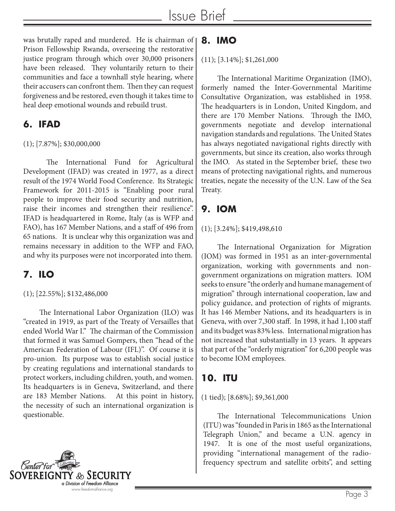was brutally raped and murdered. He is chairman of Prison Fellowship Rwanda, overseeing the restorative justice program through which over 30,000 prisoners have been released. They voluntarily return to their communities and face a townhall style hearing, where their accusers can confront them. Then they can request forgiveness and be restored, even though it takes time to heal deep emotional wounds and rebuild trust.

#### **6. IFAD**

#### (1); [7.87%]; \$30,000,000

The International Fund for Agricultural Development (IFAD) was created in 1977, as a direct result of the 1974 World Food Conference. Its Strategic Framework for 2011-2015 is "Enabling poor rural people to improve their food security and nutrition, raise their incomes and strengthen their resilience". IFAD is headquartered in Rome, Italy (as is WFP and FAO), has 167 Member Nations, and a staff of 496 from 65 nations. It is unclear why this organization was and remains necessary in addition to the WFP and FAO, and why its purposes were not incorporated into them.

# **7. ILO**

#### (1); [22.55%]; \$132,486,000

The International Labor Organization (ILO) was "created in 1919, as part of the Treaty of Versailles that ended World War I." The chairman of the Commission that formed it was Samuel Gompers, then "head of the American Federation of Labour (IFL)". Of course it is pro-union. Its purpose was to establish social justice by creating regulations and international standards to protect workers, including children, youth, and women. Its headquarters is in Geneva, Switzerland, and there are 183 Member Nations. At this point in history, the necessity of such an international organization is questionable.



# **8. IMO**

#### (11); [3.14%]; \$1,261,000

The International Maritime Organization (IMO), formerly named the Inter-Governmental Maritime Consultative Organization, was established in 1958. The headquarters is in London, United Kingdom, and there are 170 Member Nations. Through the IMO, governments negotiate and develop international navigation standards and regulations. The United States has always negotiated navigational rights directly with governments, but since its creation, also works through the IMO. As stated in the September brief, these two means of protecting navigational rights, and numerous treaties, negate the necessity of the U.N. Law of the Sea Treaty.

# **9. IOM**

#### (1); [3.24%]; \$419,498,610

The International Organization for Migration (IOM) was formed in 1951 as an inter-governmental organization, working with governments and nongovernment organizations on migration matters. IOM seeks to ensure "the orderly and humane management of migration" through international cooperation, law and policy guidance, and protection of rights of migrants. It has 146 Member Nations, and its headquarters is in Geneva, with over 7,300 staff. In 1998, it had 1,100 staff and its budget was 83% less. International migration has not increased that substantially in 13 years. It appears that part of the "orderly migration" for 6,200 people was to become IOM employees.

#### **10. ITU**

#### (1 tied); [8.68%]; \$9,361,000

The International Telecommunications Union (ITU) was "founded in Paris in 1865 as the International Telegraph Union," and became a U.N. agency in 1947. It is one of the most useful organizations, providing "international management of the radiofrequency spectrum and satellite orbits", and setting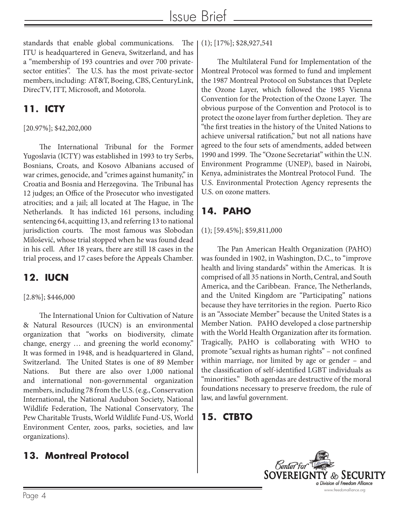standards that enable global communications. The ITU is headquartered in Geneva, Switzerland, and has a "membership of 193 countries and over 700 privatesector entities". The U.S. has the most private-sector members, including: AT&T, Boeing, CBS, CenturyLink, DirecTV, ITT, Microsoft, and Motorola.

### **11. ICTY**

#### [20.97%]; \$42,202,000

The International Tribunal for the Former Yugoslavia (ICTY) was established in 1993 to try Serbs, Bosnians, Croats, and Kosovo Albanians accused of war crimes, genocide, and "crimes against humanity," in Croatia and Bosnia and Herzegovina. The Tribunal has 12 judges; an Office of the Prosecutor who investigated atrocities; and a jail; all located at The Hague, in The Netherlands. It has indicted 161 persons, including sentencing 64, acquitting 13, and referring 13 to national jurisdiction courts. The most famous was Slobodan Milošević, whose trial stopped when he was found dead in his cell. After 18 years, there are still 18 cases in the trial process, and 17 cases before the Appeals Chamber.

# **12. IUCN**

#### [2.8%]; \$446,000

The International Union for Cultivation of Nature & Natural Resources (IUCN) is an environmental organization that "works on biodiversity, climate change, energy … and greening the world economy." It was formed in 1948, and is headquartered in Gland, Switzerland. The United States is one of 89 Member Nations. But there are also over 1,000 national and international non-governmental organization members, including 78 from the U.S. (e.g., Conservation International, the National Audubon Society, National Wildlife Federation, The National Conservatory, The Pew Charitable Trusts, World Wildlife Fund-US, World Environment Center, zoos, parks, societies, and law organizations).

#### **13. Montreal Protocol**

(1); [17%]; \$28,927,541

The Multilateral Fund for Implementation of the Montreal Protocol was formed to fund and implement the 1987 Montreal Protocol on Substances that Deplete the Ozone Layer, which followed the 1985 Vienna Convention for the Protection of the Ozone Layer. The obvious purpose of the Convention and Protocol is to protect the ozone layer from further depletion. They are "the first treaties in the history of the United Nations to achieve universal ratification," but not all nations have agreed to the four sets of amendments, added between 1990 and 1999. The "Ozone Secretariat" within the U.N. Environment Programme (UNEP), based in Nairobi, Kenya, administrates the Montreal Protocol Fund. The U.S. Environmental Protection Agency represents the U.S. on ozone matters.

# **14. PAHO**

#### (1); [59.45%]; \$59,811,000

The Pan American Health Organization (PAHO) was founded in 1902, in Washington, D.C., to "improve health and living standards" within the Americas. It is comprised of all 35 nations in North, Central, and South America, and the Caribbean. France, The Netherlands, and the United Kingdom are "Participating" nations because they have territories in the region. Puerto Rico is an "Associate Member" because the United States is a Member Nation. PAHO developed a close partnership with the World Health Organization after its formation. Tragically, PAHO is collaborating with WHO to promote "sexual rights as human rights" – not confined within marriage, nor limited by age or gender – and the classification of self-identified LGBT individuals as "minorities." Both agendas are destructive of the moral foundations necessary to preserve freedom, the rule of law, and lawful government.

#### **15. CTBTO**

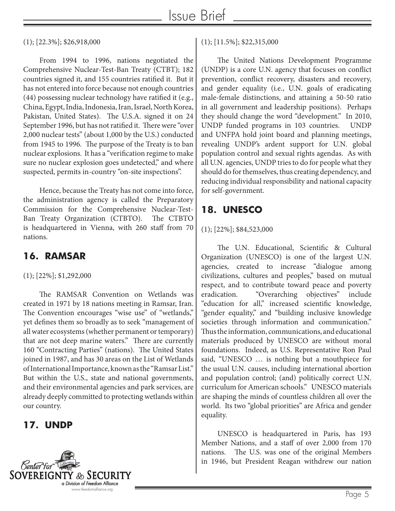(1); [22.3%]; \$26,918,000

From 1994 to 1996, nations negotiated the Comprehensive Nuclear-Test-Ban Treaty (CTBT); 182 countries signed it, and 155 countries ratified it. But it has not entered into force because not enough countries (44) possessing nuclear technology have ratified it (e.g., China, Egypt, India, Indonesia, Iran, Israel, North Korea, Pakistan, United States). The U.S.A. signed it on 24 September 1996, but has not ratified it. There were "over 2,000 nuclear tests" (about 1,000 by the U.S.) conducted from 1945 to 1996. The purpose of the Treaty is to ban nuclear explosions. It has a "verification regime to make sure no nuclear explosion goes undetected," and where suspected, permits in-country "on-site inspections".

Hence, because the Treaty has not come into force, the administration agency is called the Preparatory Commission for the Comprehensive Nuclear-Test-Ban Treaty Organization (CTBTO). The CTBTO is headquartered in Vienna, with 260 staff from 70 nations.

#### **16. RAMSAR**

(1); [22%]; \$1,292,000

The RAMSAR Convention on Wetlands was created in 1971 by 18 nations meeting in Ramsar, Iran. The Convention encourages "wise use" of "wetlands," yet defines them so broadly as to seek "management of all water ecosystems (whether permanent or temporary) that are not deep marine waters." There are currently 160 "Contracting Parties" (nations). The United States joined in 1987, and has 30 areas on the List of Wetlands of International Importance, known as the "Ramsar List." But within the U.S., state and national governments, and their environmental agencies and park services, are already deeply committed to protecting wetlands within our country.

#### **17. UNDP**



(1); [11.5%]; \$22,315,000

The United Nations Development Programme (UNDP) is a core U.N. agency that focuses on conflict prevention, conflict recovery, disasters and recovery, and gender equality (i.e., U.N. goals of eradicating male-female distinctions, and attaining a 50-50 ratio in all government and leadership positions). Perhaps they should change the word "development." In 2010, UNDP funded programs in 103 countries. UNDP and UNFPA hold joint board and planning meetings, revealing UNDP's ardent support for U.N. global population control and sexual rights agendas. As with all U.N. agencies, UNDP tries to do for people what they should do for themselves, thus creating dependency, and reducing individual responsibility and national capacity for self-government.

## **18. UNESCO**

#### (1); [22%]; \$84,523,000

The U.N. Educational, Scientific & Cultural Organization (UNESCO) is one of the largest U.N. agencies, created to increase "dialogue among civilizations, cultures and peoples," based on mutual respect, and to contribute toward peace and poverty eradication. "Overarching objectives" include "education for all," increased scientific knowledge, "gender equality," and "building inclusive knowledge societies through information and communication." Thus the information, communications, and educational materials produced by UNESCO are without moral foundations. Indeed, as U.S. Representative Ron Paul said, "UNESCO … is nothing but a mouthpiece for the usual U.N. causes, including international abortion and population control; (and) politically correct U.N. curriculum for American schools." UNESCO materials are shaping the minds of countless children all over the world. Its two "global priorities" are Africa and gender equality.

UNESCO is headquartered in Paris, has 193 Member Nations, and a staff of over 2,000 from 170 nations. The U.S. was one of the original Members in 1946, but President Reagan withdrew our nation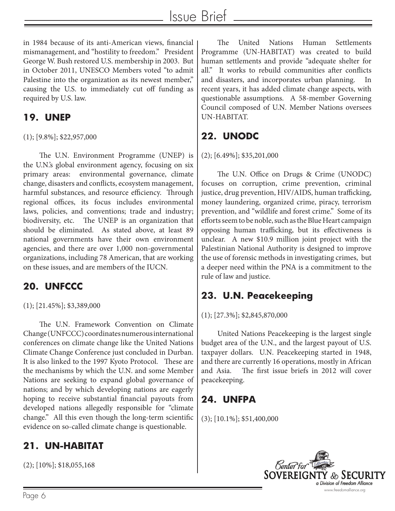in 1984 because of its anti-American views, financial mismanagement, and "hostility to freedom." President George W. Bush restored U.S. membership in 2003. But in October 2011, UNESCO Members voted "to admit Palestine into the organization as its newest member," causing the U.S. to immediately cut off funding as required by U.S. law.

#### **19. UNEP**

(1); [9.8%]; \$22,957,000

The U.N. Environment Programme (UNEP) is the U.N.'s global environment agency, focusing on six primary areas: environmental governance, climate change, disasters and conflicts, ecosystem management, harmful substances, and resource efficiency. Through regional offices, its focus includes environmental laws, policies, and conventions; trade and industry; biodiversity, etc. The UNEP is an organization that should be eliminated. As stated above, at least 89 national governments have their own environment agencies, and there are over 1,000 non-governmental organizations, including 78 American, that are working on these issues, and are members of the IUCN.

# **20. UNFCCC**

(1); [21.45%]; \$3,389,000

The U.N. Framework Convention on Climate Change (UNFCCC) coordinates numerous international conferences on climate change like the United Nations Climate Change Conference just concluded in Durban. It is also linked to the 1997 Kyoto Protocol. These are the mechanisms by which the U.N. and some Member Nations are seeking to expand global governance of nations; and by which developing nations are eagerly hoping to receive substantial financial payouts from developed nations allegedly responsible for "climate change." All this even though the long-term scientific evidence on so-called climate change is questionable.

# **21. UN-HABITAT**

(2); [10%]; \$18,055,168

The United Nations Human Settlements Programme (UN-HABITAT) was created to build human settlements and provide "adequate shelter for all." It works to rebuild communities after conflicts and disasters, and incorporates urban planning. recent years, it has added climate change aspects, with questionable assumptions. A 58-member Governing Council composed of U.N. Member Nations oversees UN-HABITAT.

# **22. UNODC**

#### (2); [6.49%]; \$35,201,000

The U.N. Office on Drugs & Crime (UNODC) focuses on corruption, crime prevention, criminal justice, drug prevention, HIV/AIDS, human trafficking, money laundering, organized crime, piracy, terrorism prevention, and "wildlife and forest crime." Some of its efforts seem to be noble, such as the Blue Heart campaign opposing human trafficking, but its effectiveness is unclear. A new \$10.9 million joint project with the Palestinian National Authority is designed to improve the use of forensic methods in investigating crimes, but a deeper need within the PNA is a commitment to the rule of law and justice.

# **23. U.N. Peacekeeping**

#### (1); [27.3%]; \$2,845,870,000

United Nations Peacekeeping is the largest single budget area of the U.N., and the largest payout of U.S. taxpayer dollars. U.N. Peacekeeping started in 1948, and there are currently 16 operations, mostly in African and Asia. The first issue briefs in 2012 will cover peacekeeping.

#### **24. UNFPA**

(3); [10.1%]; \$51,400,000

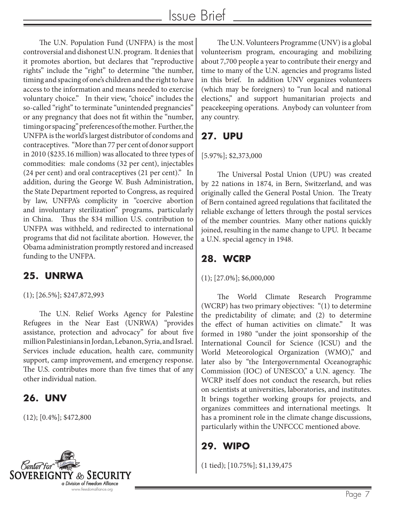The U.N. Population Fund (UNFPA) is the most controversial and dishonest U.N. program. It denies that it promotes abortion, but declares that "reproductive rights" include the "right" to determine "the number, timing and spacing of one's children and the right to have access to the information and means needed to exercise voluntary choice." In their view, "choice" includes the so-called "right" to terminate "unintended pregnancies" or any pregnancy that does not fit within the "number, timing or spacing" preferences of the mother. Further, the UNFPA is the world's largest distributor of condoms and contraceptives. "More than 77 per cent of donor support in 2010 (\$235.16 million) was allocated to three types of commodities: male condoms (32 per cent), injectables (24 per cent) and oral contraceptives (21 per cent)." In addition, during the George W. Bush Administration, the State Department reported to Congress, as required by law, UNFPA's complicity in "coercive abortion and involuntary sterilization" programs, particularly in China. Thus the \$34 million U.S. contribution to UNFPA was withheld, and redirected to international programs that did not facilitate abortion. However, the Obama administration promptly restored and increased funding to the UNFPA.

#### **25. UNRWA**

(1); [26.5%]; \$247,872,993

The U.N. Relief Works Agency for Palestine Refugees in the Near East (UNRWA) "provides assistance, protection and advocacy" for about five million Palestinians in Jordan, Lebanon, Syria, and Israel. Services include education, health care, community support, camp improvement, and emergency response. The U.S. contributes more than five times that of any other individual nation.

#### **26. UNV**

(12); [0.4%]; \$472,800



The U.N. Volunteers Programme (UNV) is a global volunteerism program, encouraging and mobilizing about 7,700 people a year to contribute their energy and time to many of the U.N. agencies and programs listed in this brief. In addition UNV organizes volunteers (which may be foreigners) to "run local and national elections," and support humanitarian projects and peacekeeping operations. Anybody can volunteer from any country.

# **27. UPU**

#### [5.97%]; \$2,373,000

The Universal Postal Union (UPU) was created by 22 nations in 1874, in Bern, Switzerland, and was originally called the General Postal Union. The Treaty of Bern contained agreed regulations that facilitated the reliable exchange of letters through the postal services of the member countries. Many other nations quickly joined, resulting in the name change to UPU. It became a U.N. special agency in 1948.

# **28. WCRP**

#### (1); [27.0%]; \$6,000,000

The World Climate Research Programme (WCRP) has two primary objectives: "(1) to determine the predictability of climate; and (2) to determine the effect of human activities on climate." It was formed in 1980 "under the joint sponsorship of the International Council for Science (ICSU) and the World Meteorological Organization (WMO)," and later also by "the Intergovernmental Oceanographic Commission (IOC) of UNESCO," a U.N. agency. The WCRP itself does not conduct the research, but relies on scientists at universities, laboratories, and institutes. It brings together working groups for projects, and organizes committees and international meetings. It has a prominent role in the climate change discussions, particularly within the UNFCCC mentioned above.

# **29. WIPO**

(1 tied); [10.75%]; \$1,139,475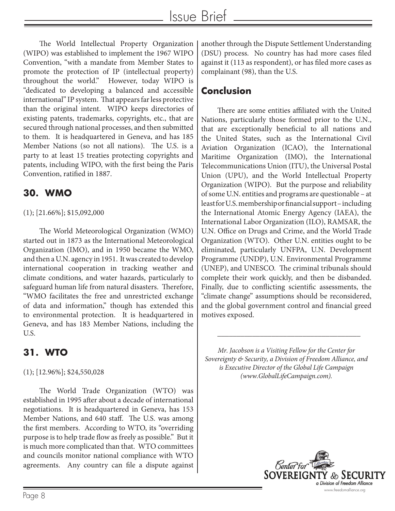The World Intellectual Property Organization (WIPO) was established to implement the 1967 WIPO Convention, "with a mandate from Member States to promote the protection of IP (intellectual property) throughout the world." However, today WIPO is "dedicated to developing a balanced and accessible international" IP system. That appears far less protective than the original intent. WIPO keeps directories of existing patents, trademarks, copyrights, etc., that are secured through national processes, and then submitted to them. It is headquartered in Geneva, and has 185 Member Nations (so not all nations). The U.S. is a party to at least 15 treaties protecting copyrights and patents, including WIPO, with the first being the Paris Convention, ratified in 1887.

#### **30. WMO**

#### (1); [21.66%]; \$15,092,000

The World Meteorological Organization (WMO) started out in 1873 as the International Meteorological Organization (IMO), and in 1950 became the WMO, and then a U.N. agency in 1951. It was created to develop international cooperation in tracking weather and climate conditions, and water hazards, particularly to safeguard human life from natural disasters. Therefore, "WMO facilitates the free and unrestricted exchange of data and information," though has extended this to environmental protection. It is headquartered in Geneva, and has 183 Member Nations, including the U.S.

#### **31. WTO**

#### (1); [12.96%]; \$24,550,028

The World Trade Organization (WTO) was established in 1995 after about a decade of international negotiations. It is headquartered in Geneva, has 153 Member Nations, and 640 staff. The U.S. was among the first members. According to WTO, its "overriding purpose is to help trade flow as freely as possible." But it is much more complicated than that. WTO committees and councils monitor national compliance with WTO agreements. Any country can file a dispute against

another through the Dispute Settlement Understanding (DSU) process. No country has had more cases filed against it (113 as respondent), or has filed more cases as complainant (98), than the U.S.

# **Conclusion**

There are some entities affiliated with the United Nations, particularly those formed prior to the U.N., that are exceptionally beneficial to all nations and the United States, such as the International Civil Aviation Organization (ICAO), the International Maritime Organization (IMO), the International Telecommunications Union (ITU), the Universal Postal Union (UPU), and the World Intellectual Property Organization (WIPO). But the purpose and reliability of some U.N. entities and programs are questionable – at least for U.S. membership or financial support – including the International Atomic Energy Agency (IAEA), the International Labor Organization (ILO), RAMSAR, the U.N. Office on Drugs and Crime, and the World Trade Organization (WTO). Other U.N. entities ought to be eliminated, particularly UNFPA, U.N. Development Programme (UNDP), U.N. Environmental Programme (UNEP), and UNESCO. The criminal tribunals should complete their work quickly, and then be disbanded. Finally, due to conflicting scientific assessments, the "climate change" assumptions should be reconsidered, and the global government control and financial greed motives exposed.

*Mr. Jacobson is a Visiting Fellow for the Center for Sovereignty & Security, a Division of Freedom Alliance, and is Executive Director of the Global Life Campaign (www.GlobalLifeCampaign.com).*

\_\_\_\_\_\_\_\_\_\_\_\_\_\_\_\_\_\_\_\_\_\_\_\_\_\_\_\_\_\_\_\_\_\_\_\_\_

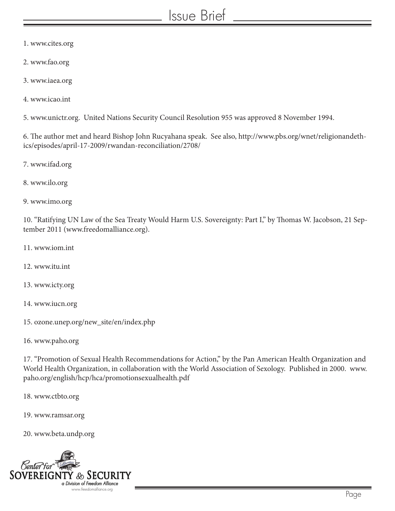# Issue Brief

- 1. www.cites.org
- 2. www.fao.org
- 3. www.iaea.org
- 4. www.icao.int

5. www.unictr.org. United Nations Security Council Resolution 955 was approved 8 November 1994.

6. The author met and heard Bishop John Rucyahana speak. See also, http://www.pbs.org/wnet/religionandethics/episodes/april-17-2009/rwandan-reconciliation/2708/

7. www.ifad.org

- 8. www.ilo.org
- 9. www.imo.org

10. "Ratifying UN Law of the Sea Treaty Would Harm U.S. Sovereignty: Part I," by Thomas W. Jacobson, 21 September 2011 (www.freedomalliance.org).

- 11. www.iom.int
- 12. www.itu.int
- 13. www.icty.org
- 14. www.iucn.org
- 15. ozone.unep.org/new\_site/en/index.php
- 16. www.paho.org

17. "Promotion of Sexual Health Recommendations for Action," by the Pan American Health Organization and World Health Organization, in collaboration with the World Association of Sexology. Published in 2000. www. paho.org/english/hcp/hca/promotionsexualhealth.pdf

18. www.ctbto.org

19. www.ramsar.org

20. www.beta.undp.org